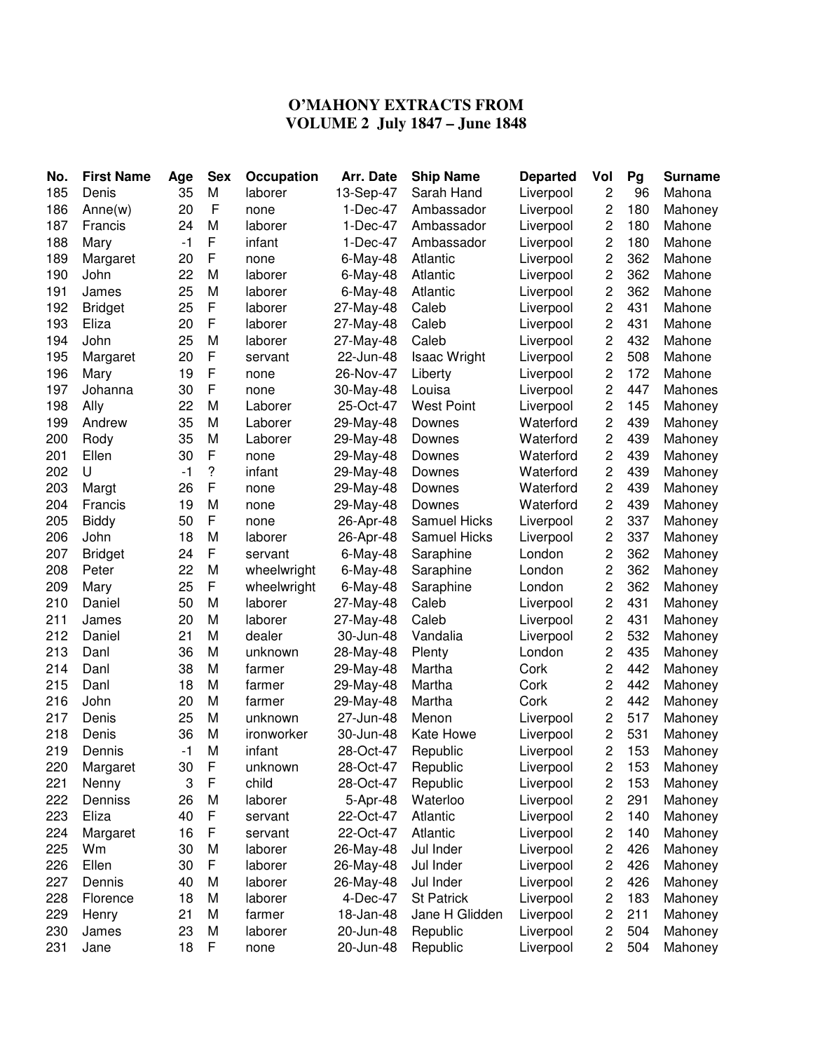## **O'MAHONY EXTRACTS FROM VOLUME 2 July 1847 – June 1848**

| No. | <b>First Name</b> | Age  | <b>Sex</b>   | Occupation  | Arr. Date   | <b>Ship Name</b>    | <b>Departed</b> | Vol            | Pg  | <b>Surname</b> |
|-----|-------------------|------|--------------|-------------|-------------|---------------------|-----------------|----------------|-----|----------------|
| 185 | Denis             | 35   | M            | laborer     | 13-Sep-47   | Sarah Hand          | Liverpool       | 2              | 96  | Mahona         |
| 186 | Anne(w)           | 20   | $\mathsf{F}$ | none        | 1-Dec-47    | Ambassador          | Liverpool       | 2              | 180 | Mahoney        |
| 187 | Francis           | 24   | M            | laborer     | 1-Dec-47    | Ambassador          | Liverpool       | $\mathbf 2$    | 180 | Mahone         |
| 188 | Mary              | $-1$ | F            | infant      | 1-Dec-47    | Ambassador          | Liverpool       | $\overline{c}$ | 180 | Mahone         |
| 189 | Margaret          | 20   | F            | none        | $6$ -May-48 | Atlantic            | Liverpool       | $\overline{c}$ | 362 | Mahone         |
| 190 | John              | 22   | M            | laborer     | 6-May-48    | Atlantic            | Liverpool       | 2              | 362 | Mahone         |
| 191 | James             | 25   | M            | laborer     | 6-May-48    | Atlantic            | Liverpool       | 2              | 362 | Mahone         |
| 192 | <b>Bridget</b>    | 25   | F            | laborer     | 27-May-48   | Caleb               | Liverpool       | $\overline{c}$ | 431 | Mahone         |
| 193 | Eliza             | 20   | F            | laborer     | 27-May-48   | Caleb               | Liverpool       | $\overline{c}$ | 431 | Mahone         |
| 194 | John              | 25   | M            | laborer     | 27-May-48   | Caleb               | Liverpool       | $\overline{c}$ | 432 | Mahone         |
| 195 | Margaret          | 20   | F            | servant     | 22-Jun-48   | <b>Isaac Wright</b> | Liverpool       | 2              | 508 | Mahone         |
| 196 | Mary              | 19   | F            | none        | 26-Nov-47   | Liberty             | Liverpool       | 2              | 172 | Mahone         |
| 197 | Johanna           | 30   | F            | none        | 30-May-48   | Louisa              | Liverpool       | 2              | 447 | Mahones        |
| 198 | Ally              | 22   | M            | Laborer     | 25-Oct-47   | <b>West Point</b>   | Liverpool       | 2              | 145 | Mahoney        |
| 199 | Andrew            | 35   | M            | Laborer     | 29-May-48   | Downes              | Waterford       | $\mathbf 2$    | 439 | Mahoney        |
| 200 | Rody              | 35   | M            | Laborer     | 29-May-48   | Downes              | Waterford       | $\mathbf 2$    | 439 | Mahoney        |
| 201 | Ellen             | 30   | F            | none        | 29-May-48   | Downes              | Waterford       | $\mathbf 2$    | 439 | Mahoney        |
| 202 | U                 | $-1$ | ?            | infant      | 29-May-48   | Downes              | Waterford       | $\mathbf 2$    | 439 | Mahoney        |
| 203 | Margt             | 26   | F            | none        | 29-May-48   | Downes              | Waterford       | $\mathbf 2$    | 439 | Mahoney        |
| 204 | Francis           | 19   | M            | none        | 29-May-48   | Downes              | Waterford       | $\mathbf 2$    | 439 | Mahoney        |
| 205 | <b>Biddy</b>      | 50   | F            | none        | 26-Apr-48   | Samuel Hicks        | Liverpool       | $\mathbf 2$    | 337 | Mahoney        |
| 206 | John              | 18   | M            | laborer     | 26-Apr-48   | Samuel Hicks        | Liverpool       | $\mathbf 2$    | 337 | Mahoney        |
| 207 | <b>Bridget</b>    | 24   | F            | servant     | $6$ -May-48 | Saraphine           | London          | 2              | 362 | Mahoney        |
| 208 | Peter             | 22   | M            | wheelwright | 6-May-48    | Saraphine           | London          | $\overline{c}$ | 362 | Mahoney        |
| 209 | Mary              | 25   | F            | wheelwright | 6-May-48    | Saraphine           | London          | $\overline{c}$ | 362 | Mahoney        |
| 210 | Daniel            | 50   | M            | laborer     | 27-May-48   | Caleb               | Liverpool       | $\mathbf 2$    | 431 | Mahoney        |
| 211 | James             | 20   | M            | laborer     | 27-May-48   | Caleb               | Liverpool       | $\mathbf 2$    | 431 | Mahoney        |
| 212 | Daniel            | 21   | M            | dealer      | 30-Jun-48   | Vandalia            | Liverpool       | 2              | 532 | Mahoney        |
| 213 | Danl              | 36   | M            | unknown     | 28-May-48   | Plenty              | London          | 2              | 435 | Mahoney        |
| 214 | Danl              | 38   | M            | farmer      | 29-May-48   | Martha              | Cork            | $\mathbf 2$    | 442 | Mahoney        |
| 215 | Danl              | 18   | M            | farmer      | 29-May-48   | Martha              | Cork            | $\overline{c}$ | 442 | Mahoney        |
| 216 | John              | 20   | M            | farmer      | 29-May-48   | Martha              | Cork            | $\mathbf 2$    | 442 | Mahoney        |
| 217 | Denis             | 25   | M            | unknown     | 27-Jun-48   | Menon               | Liverpool       | $\mathbf 2$    | 517 | Mahoney        |
| 218 | Denis             | 36   | M            | ironworker  | 30-Jun-48   | Kate Howe           | Liverpool       | $\mathbf 2$    | 531 | Mahoney        |
| 219 | Dennis            | $-1$ | M            | infant      | 28-Oct-47   | Republic            | Liverpool       | 2              | 153 | Mahoney        |
| 220 | Margaret          | 30   | $\mathsf{F}$ | unknown     | 28-Oct-47   | Republic            | Liverpool       | 2              | 153 | Mahoney        |
| 221 | Nenny             | 3    | F            | child       | 28-Oct-47   | Republic            | Liverpool       | 2              | 153 | Mahoney        |
| 222 | Denniss           | 26   | M            | laborer     | 5-Apr-48    | Waterloo            | Liverpool       | $\mathbf 2$    | 291 | Mahoney        |
| 223 | Eliza             | 40   | F            | servant     | 22-Oct-47   | Atlantic            | Liverpool       | $\mathbf 2$    | 140 | Mahoney        |
| 224 | Margaret          | 16   | F            | servant     | 22-Oct-47   | Atlantic            | Liverpool       | 2              | 140 | Mahoney        |
| 225 | Wm                | 30   | M            | laborer     | 26-May-48   | Jul Inder           | Liverpool       | $\mathbf 2$    | 426 | Mahoney        |
| 226 | Ellen             | 30   | F            | laborer     | 26-May-48   | Jul Inder           | Liverpool       | $\mathbf 2$    | 426 | Mahoney        |
| 227 | Dennis            | 40   | M            | laborer     | 26-May-48   | Jul Inder           | Liverpool       | $\mathbf 2$    | 426 | Mahoney        |
| 228 | Florence          | 18   | M            | laborer     | 4-Dec-47    | <b>St Patrick</b>   | Liverpool       | $\mathbf 2$    | 183 | Mahoney        |
| 229 | Henry             | 21   | M            | farmer      | 18-Jan-48   | Jane H Glidden      | Liverpool       | 2              | 211 | Mahoney        |
| 230 | James             | 23   | M            | laborer     | 20-Jun-48   | Republic            | Liverpool       | 2              | 504 | Mahoney        |
| 231 | Jane              | 18   | F            |             | 20-Jun-48   |                     | Liverpool       | 2              | 504 | Mahoney        |
|     |                   |      |              | none        |             | Republic            |                 |                |     |                |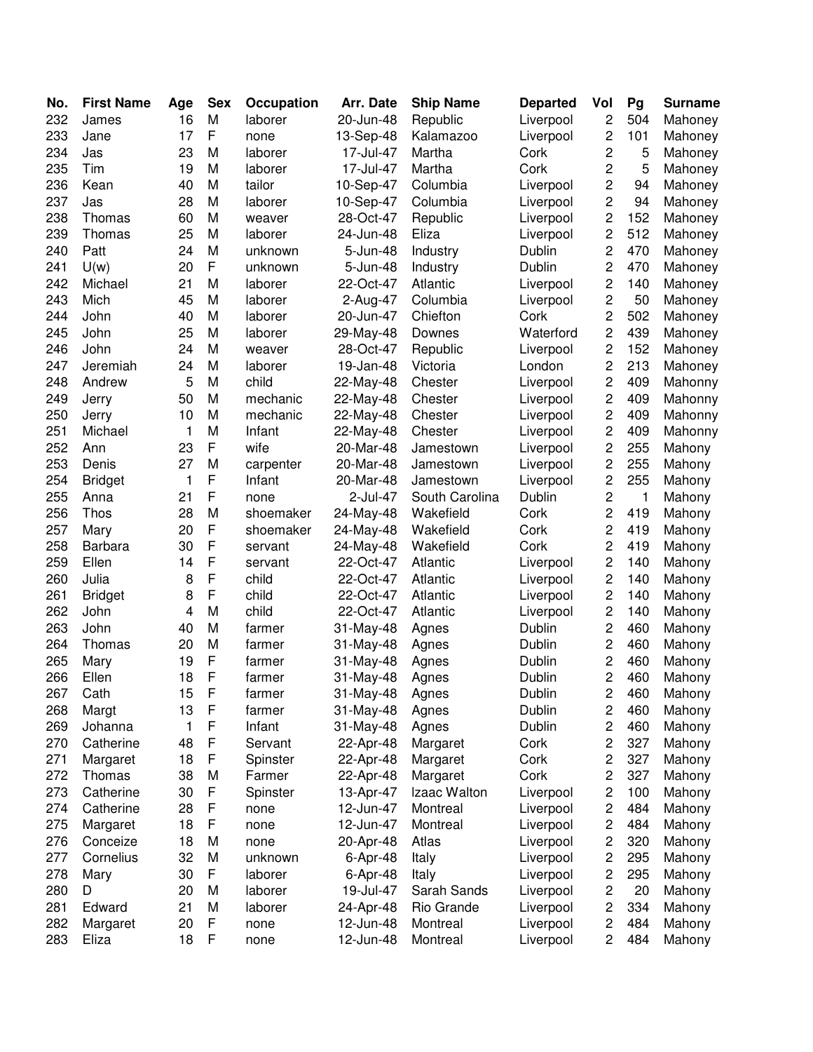| No. | <b>First Name</b> | Age | <b>Sex</b>  | Occupation | Arr. Date | <b>Ship Name</b> | <b>Departed</b> | Vol                     | Pg  | <b>Surname</b> |
|-----|-------------------|-----|-------------|------------|-----------|------------------|-----------------|-------------------------|-----|----------------|
| 232 | James             | 16  | M           | laborer    | 20-Jun-48 | Republic         | Liverpool       | 2                       | 504 | Mahoney        |
| 233 | Jane              | 17  | F           | none       | 13-Sep-48 | Kalamazoo        | Liverpool       | 2                       | 101 | Mahoney        |
| 234 | Jas               | 23  | M           | laborer    | 17-Jul-47 | Martha           | Cork            | 2                       | 5   | Mahoney        |
| 235 | Tim               | 19  | М           | laborer    | 17-Jul-47 | Martha           | Cork            | 2                       | 5   | Mahoney        |
| 236 | Kean              | 40  | М           | tailor     | 10-Sep-47 | Columbia         | Liverpool       | 2                       | 94  | Mahoney        |
| 237 | Jas               | 28  | М           | laborer    | 10-Sep-47 | Columbia         | Liverpool       | $\overline{c}$          | 94  | Mahoney        |
| 238 | Thomas            | 60  | М           | weaver     | 28-Oct-47 | Republic         | Liverpool       | $\overline{c}$          | 152 | Mahoney        |
| 239 | Thomas            | 25  | М           | laborer    | 24-Jun-48 | Eliza            | Liverpool       | 2                       | 512 | Mahoney        |
| 240 | Patt              | 24  | M           | unknown    | 5-Jun-48  | Industry         | Dublin          | 2                       | 470 | Mahoney        |
| 241 | U(w)              | 20  | F           | unknown    | 5-Jun-48  | Industry         | Dublin          | $\overline{c}$          | 470 | Mahoney        |
| 242 | Michael           | 21  | М           | laborer    | 22-Oct-47 | Atlantic         | Liverpool       | 2                       | 140 | Mahoney        |
| 243 | Mich              | 45  | М           | laborer    | 2-Aug-47  | Columbia         | Liverpool       | 2                       | 50  | Mahoney        |
| 244 | John              | 40  | М           | laborer    | 20-Jun-47 | Chiefton         | Cork            | 2                       | 502 | Mahoney        |
| 245 | John              | 25  | Μ           | laborer    | 29-May-48 | Downes           | Waterford       | 2                       | 439 | Mahoney        |
| 246 | John              | 24  | M           | weaver     | 28-Oct-47 | Republic         | Liverpool       | 2                       | 152 | Mahoney        |
| 247 | Jeremiah          | 24  | M           | laborer    | 19-Jan-48 | Victoria         | London          | 2                       | 213 | Mahoney        |
| 248 | Andrew            | 5   | M           | child      | 22-May-48 | Chester          | Liverpool       | 2                       | 409 | Mahonny        |
| 249 | Jerry             | 50  | М           | mechanic   | 22-May-48 | Chester          | Liverpool       | 2                       | 409 | Mahonny        |
| 250 | Jerry             | 10  | Μ           | mechanic   | 22-May-48 | Chester          | Liverpool       | 2                       | 409 | Mahonny        |
| 251 | Michael           | 1   | M           | Infant     | 22-May-48 | Chester          | Liverpool       | 2                       | 409 | Mahonny        |
| 252 | Ann               | 23  | F           | wife       | 20-Mar-48 | Jamestown        | Liverpool       | 2                       | 255 | Mahony         |
| 253 | Denis             | 27  | М           | carpenter  | 20-Mar-48 | Jamestown        | Liverpool       | 2                       | 255 | Mahony         |
| 254 | <b>Bridget</b>    | 1   | F           | Infant     | 20-Mar-48 | Jamestown        | Liverpool       | 2                       | 255 | Mahony         |
| 255 | Anna              | 21  | F           | none       | 2-Jul-47  | South Carolina   | Dublin          | 2                       | 1   | Mahony         |
| 256 | Thos              | 28  | М           | shoemaker  | 24-May-48 | Wakefield        | Cork            | $\overline{c}$          | 419 | Mahony         |
| 257 | Mary              | 20  | F           | shoemaker  | 24-May-48 | Wakefield        | Cork            | 2                       | 419 | Mahony         |
| 258 | Barbara           | 30  | F           | servant    | 24-May-48 | Wakefield        | Cork            | 2                       | 419 | Mahony         |
| 259 | Ellen             | 14  | F           | servant    | 22-Oct-47 | Atlantic         | Liverpool       | 2                       | 140 | Mahony         |
| 260 | Julia             | 8   | $\mathsf F$ | child      | 22-Oct-47 | Atlantic         | Liverpool       | 2                       | 140 | Mahony         |
| 261 | <b>Bridget</b>    | 8   | F           | child      | 22-Oct-47 | Atlantic         | Liverpool       | $\overline{c}$          | 140 | Mahony         |
| 262 | John              | 4   | M           | child      | 22-Oct-47 | Atlantic         | Liverpool       | $\overline{c}$          | 140 | Mahony         |
| 263 | John              | 40  | М           | farmer     | 31-May-48 | Agnes            | Dublin          | 2                       | 460 | Mahony         |
| 264 | Thomas            | 20  | М           | farmer     | 31-May-48 | Agnes            | Dublin          | 2                       | 460 | Mahony         |
| 265 | Mary              | 19  | $\mathsf F$ | farmer     | 31-May-48 | Agnes            | Dublin          | 2                       | 460 | Mahony         |
| 266 | Ellen             | 18  | F           | farmer     | 31-May-48 | Agnes            | Dublin          | 2                       | 460 | Mahony         |
| 267 | Cath              | 15  | $\mathsf F$ | farmer     | 31-May-48 | Agnes            | Dublin          | 2                       | 460 | Mahony         |
| 268 | Margt             | 13  | F           | farmer     | 31-May-48 | Agnes            | Dublin          | 2                       | 460 | Mahony         |
| 269 | Johanna           | 1   | F           | Infant     | 31-May-48 | Agnes            | Dublin          | 2                       | 460 | Mahony         |
| 270 | Catherine         | 48  | F           | Servant    | 22-Apr-48 | Margaret         | Cork            | 2                       | 327 | Mahony         |
| 271 | Margaret          | 18  | F           | Spinster   | 22-Apr-48 | Margaret         | Cork            | 2                       | 327 | Mahony         |
| 272 | Thomas            | 38  | M           | Farmer     | 22-Apr-48 | Margaret         | Cork            | 2                       | 327 | Mahony         |
| 273 | Catherine         | 30  | F           | Spinster   | 13-Apr-47 | Izaac Walton     | Liverpool       | 2                       | 100 | Mahony         |
| 274 | Catherine         | 28  | F           | none       | 12-Jun-47 | Montreal         | Liverpool       | 2                       | 484 | Mahony         |
| 275 | Margaret          | 18  | F           | none       | 12-Jun-47 | Montreal         | Liverpool       | 2                       | 484 | Mahony         |
| 276 | Conceize          | 18  | M           | none       | 20-Apr-48 | Atlas            | Liverpool       | 2                       | 320 | Mahony         |
| 277 | Cornelius         | 32  | M           | unknown    | 6-Apr-48  | Italy            | Liverpool       | 2                       | 295 | Mahony         |
| 278 | Mary              | 30  | F           | laborer    | 6-Apr-48  | Italy            | Liverpool       | 2                       | 295 | Mahony         |
| 280 | D                 | 20  | M           | laborer    | 19-Jul-47 | Sarah Sands      | Liverpool       | $\overline{\mathbf{c}}$ | 20  | Mahony         |
| 281 | Edward            | 21  | М           | laborer    | 24-Apr-48 | Rio Grande       | Liverpool       | 2                       | 334 | Mahony         |
| 282 | Margaret          | 20  | F           | none       | 12-Jun-48 | Montreal         | Liverpool       | $\overline{c}$          | 484 | Mahony         |
| 283 | Eliza             | 18  | $\mathsf F$ | none       | 12-Jun-48 | Montreal         | Liverpool       | 2                       | 484 | Mahony         |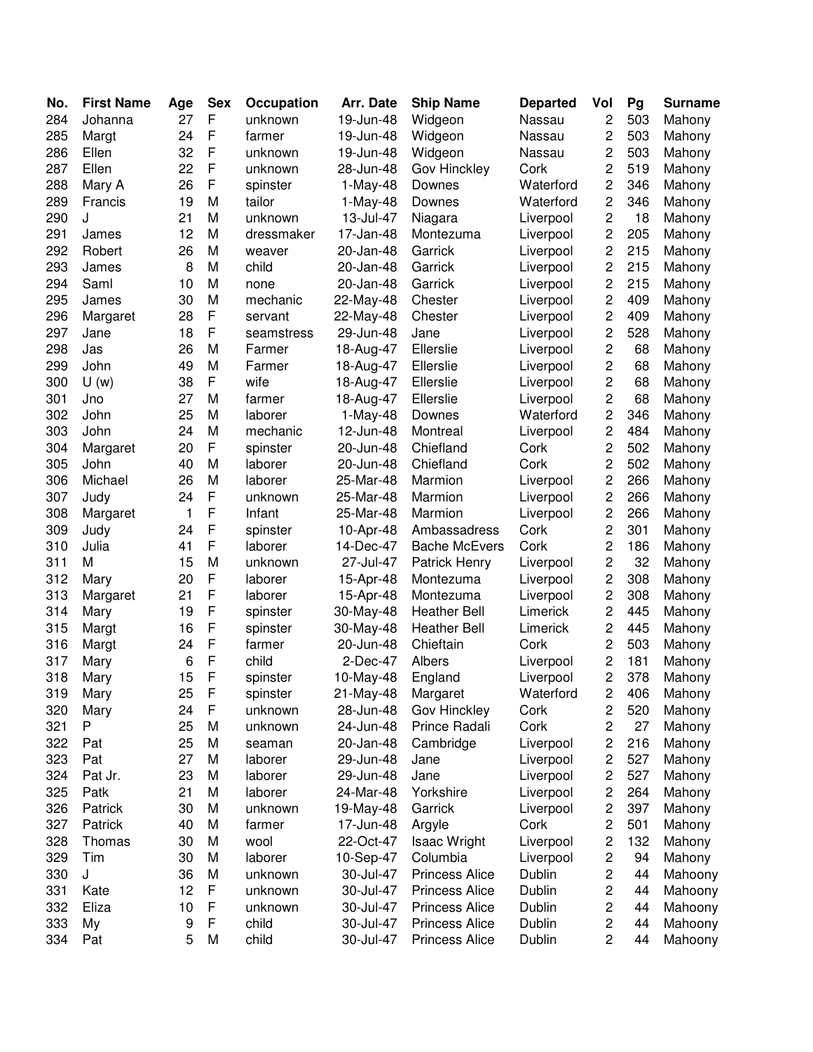| No. | <b>First Name</b> | Age | <b>Sex</b>  | Occupation | Arr. Date  | <b>Ship Name</b>      | <b>Departed</b> | Vol            | Pg  | <b>Surname</b> |
|-----|-------------------|-----|-------------|------------|------------|-----------------------|-----------------|----------------|-----|----------------|
| 284 | Johanna           | 27  | F           | unknown    | 19-Jun-48  | Widgeon               | Nassau          | $\overline{c}$ | 503 | Mahony         |
| 285 | Margt             | 24  | F           | farmer     | 19-Jun-48  | Widgeon               | Nassau          | 2              | 503 | Mahony         |
| 286 | Ellen             | 32  | F           | unknown    | 19-Jun-48  | Widgeon               | Nassau          | 2              | 503 | Mahony         |
| 287 | Ellen             | 22  | F           | unknown    | 28-Jun-48  | Gov Hinckley          | Cork            | 2              | 519 | Mahony         |
| 288 | Mary A            | 26  | F           | spinster   | $1-May-48$ | Downes                | Waterford       | 2              | 346 | Mahony         |
| 289 | Francis           | 19  | M           | tailor     | $1-May-48$ | Downes                | Waterford       | 2              | 346 | Mahony         |
| 290 | J                 | 21  | M           | unknown    | 13-Jul-47  | Niagara               | Liverpool       | 2              | 18  | Mahony         |
| 291 | James             | 12  | M           | dressmaker | 17-Jan-48  | Montezuma             | Liverpool       | 2              | 205 | Mahony         |
| 292 | Robert            | 26  | M           | weaver     | 20-Jan-48  | Garrick               | Liverpool       | 2              | 215 | Mahony         |
| 293 | James             | 8   | M           | child      | 20-Jan-48  | Garrick               | Liverpool       | 2              | 215 | Mahony         |
| 294 | Saml              | 10  | M           | none       | 20-Jan-48  | Garrick               | Liverpool       | 2              | 215 | Mahony         |
| 295 | James             | 30  | M           | mechanic   | 22-May-48  | Chester               | Liverpool       | 2              | 409 | Mahony         |
| 296 | Margaret          | 28  | F           | servant    | 22-May-48  | Chester               | Liverpool       | 2              | 409 | Mahony         |
| 297 | Jane              | 18  | F           | seamstress | 29-Jun-48  | Jane                  | Liverpool       | 2              | 528 | Mahony         |
| 298 | Jas               | 26  | M           | Farmer     | 18-Aug-47  | Ellerslie             | Liverpool       | 2              | 68  | Mahony         |
| 299 | John              | 49  | M           | Farmer     | 18-Aug-47  | Ellerslie             | Liverpool       | 2              | 68  | Mahony         |
| 300 | U(w)              | 38  | F           | wife       | 18-Aug-47  | Ellerslie             | Liverpool       | 2              | 68  | Mahony         |
| 301 | Jno               | 27  | M           | farmer     | 18-Aug-47  | Ellerslie             | Liverpool       | 2              | 68  | Mahony         |
| 302 | John              | 25  | M           | laborer    | 1-May-48   | Downes                | Waterford       | 2              | 346 | Mahony         |
| 303 | John              | 24  | M           | mechanic   | 12-Jun-48  | Montreal              | Liverpool       | 2              | 484 | Mahony         |
| 304 | Margaret          | 20  | F           | spinster   | 20-Jun-48  | Chiefland             | Cork            | 2              | 502 | Mahony         |
| 305 | John              | 40  | M           | laborer    | 20-Jun-48  | Chiefland             | Cork            | 2              | 502 | Mahony         |
| 306 | Michael           | 26  | M           | laborer    | 25-Mar-48  | Marmion               | Liverpool       | 2              | 266 | Mahony         |
| 307 | Judy              | 24  | F           | unknown    | 25-Mar-48  | Marmion               | Liverpool       | 2              | 266 | Mahony         |
| 308 | Margaret          | 1   | F           | Infant     | 25-Mar-48  | Marmion               | Liverpool       | 2              | 266 | Mahony         |
| 309 | Judy              | 24  | F           | spinster   | 10-Apr-48  | Ambassadress          | Cork            | 2              | 301 | Mahony         |
| 310 | Julia             | 41  | F           | laborer    | 14-Dec-47  | <b>Bache McEvers</b>  | Cork            | 2              | 186 | Mahony         |
| 311 | M                 | 15  | M           | unknown    | 27-Jul-47  | Patrick Henry         | Liverpool       | $\overline{c}$ | 32  | Mahony         |
| 312 | Mary              | 20  | F           | laborer    | 15-Apr-48  | Montezuma             | Liverpool       | 2              | 308 | Mahony         |
| 313 | Margaret          | 21  | F           | laborer    | 15-Apr-48  | Montezuma             | Liverpool       | 2              | 308 | Mahony         |
| 314 | Mary              | 19  | F           | spinster   | 30-May-48  | <b>Heather Bell</b>   | Limerick        | 2              | 445 | Mahony         |
| 315 | Margt             | 16  | F           | spinster   | 30-May-48  | <b>Heather Bell</b>   | Limerick        | 2              | 445 | Mahony         |
| 316 | Margt             | 24  | F           | farmer     | 20-Jun-48  | Chieftain             | Cork            | 2              | 503 | Mahony         |
| 317 | Mary              | 6   | $\mathsf F$ | child      | 2-Dec-47   | Albers                | Liverpool       | 2              | 181 | Mahony         |
| 318 | Mary              | 15  | F           | spinster   | 10-May-48  | England               | Liverpool       | 2              | 378 | Mahony         |
| 319 | Mary              | 25  | F           | spinster   | 21-May-48  | Margaret              | Waterford       | $\mathbf 2$    | 406 | Mahony         |
| 320 | Mary              | 24  | F           | unknown    | 28-Jun-48  | Gov Hinckley          | Cork            | $\overline{c}$ | 520 | Mahony         |
| 321 | P                 | 25  | M           | unknown    | 24-Jun-48  | Prince Radali         | Cork            | 2              | 27  | Mahony         |
| 322 | Pat               | 25  | M           | seaman     | 20-Jan-48  | Cambridge             | Liverpool       | 2              | 216 | Mahony         |
| 323 | Pat               | 27  | M           | laborer    | 29-Jun-48  | Jane                  | Liverpool       | 2              | 527 | Mahony         |
| 324 | Pat Jr.           | 23  | M           | laborer    | 29-Jun-48  | Jane                  | Liverpool       | 2              | 527 | Mahony         |
| 325 | Patk              | 21  | M           | laborer    | 24-Mar-48  | Yorkshire             | Liverpool       | 2              | 264 | Mahony         |
| 326 | Patrick           | 30  | М           | unknown    | 19-May-48  | Garrick               | Liverpool       | 2              | 397 | Mahony         |
| 327 | Patrick           | 40  | М           | farmer     | 17-Jun-48  | Argyle                | Cork            | 2              | 501 | Mahony         |
| 328 | Thomas            | 30  | М           | wool       | 22-Oct-47  | <b>Isaac Wright</b>   | Liverpool       | 2              | 132 | Mahony         |
| 329 | Tim               | 30  | M           | laborer    | 10-Sep-47  | Columbia              | Liverpool       | 2              | 94  | Mahony         |
| 330 | J                 | 36  | M           | unknown    | 30-Jul-47  | <b>Princess Alice</b> | Dublin          | 2              | 44  | Mahoony        |
| 331 | Kate              | 12  | F           | unknown    | 30-Jul-47  | <b>Princess Alice</b> | Dublin          | 2              | 44  | Mahoony        |
| 332 | Eliza             | 10  | F           | unknown    | 30-Jul-47  | <b>Princess Alice</b> | Dublin          | 2              | 44  | Mahoony        |
| 333 | My                | 9   | F           | child      | 30-Jul-47  | <b>Princess Alice</b> | Dublin          | 2              | 44  | Mahoony        |
| 334 | Pat               | 5   | M           | child      | 30-Jul-47  | <b>Princess Alice</b> | Dublin          | 2              | 44  | Mahoony        |